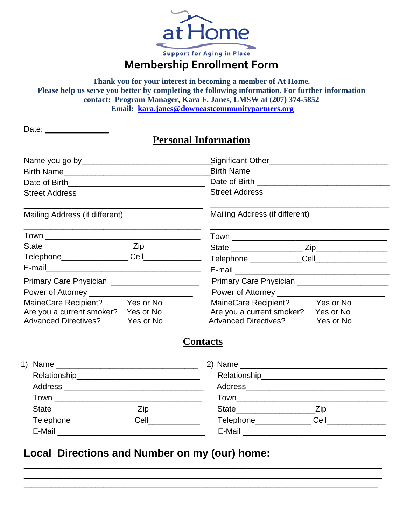

**Thank you for your interest in becoming a member of At Home. Please help us serve you better by completing the following information. For further information contact: Program Manager, Kara F. Janes, LMSW at (207) 374-5852 Email: [kara.janes@downeastcommunitypartners.org](mailto:kara.janes@downeastcommunitypartners.org)**

| Date: |  |  |  |  |
|-------|--|--|--|--|
|       |  |  |  |  |

## **Personal Information**

| Birth Name                                     |           | Birth Name                                    |           |  |  |
|------------------------------------------------|-----------|-----------------------------------------------|-----------|--|--|
| Date of Birth <b>contained</b> Date of Birth   |           |                                               |           |  |  |
| <b>Street Address</b>                          |           | <b>Street Address</b>                         |           |  |  |
| Mailing Address (if different)                 |           | Mailing Address (if different)                |           |  |  |
|                                                |           |                                               |           |  |  |
|                                                |           |                                               |           |  |  |
| Telephone__________________Cell_______________ |           | Telephone _____________Cell__________________ |           |  |  |
|                                                |           |                                               |           |  |  |
| Primary Care Physician _______________________ |           |                                               |           |  |  |
|                                                |           |                                               |           |  |  |
| MaineCare Recipient? Yes or No                 |           | MaineCare Recipient?                          | Yes or No |  |  |
| Are you a current smoker? Yes or No            |           | Are you a current smoker?                     | Yes or No |  |  |
| <b>Advanced Directives?</b>                    | Yes or No | <b>Advanced Directives?</b>                   | Yes or No |  |  |
|                                                |           | <b>Contacts</b>                               |           |  |  |
|                                                |           |                                               |           |  |  |
|                                                |           |                                               |           |  |  |
|                                                |           |                                               |           |  |  |
|                                                |           |                                               |           |  |  |
|                                                |           |                                               |           |  |  |
| Telephone_________________Cell______________   |           | Telephone_______________Cell________________  |           |  |  |
|                                                |           |                                               |           |  |  |
|                                                |           |                                               |           |  |  |

\_\_\_\_\_\_\_\_\_\_\_\_\_\_\_\_\_\_\_\_\_\_\_\_\_\_\_\_\_\_\_\_\_\_\_\_\_\_\_\_\_\_\_\_\_\_\_\_\_\_\_\_\_\_\_\_\_\_\_\_\_\_\_\_\_\_\_\_\_\_\_\_\_\_\_\_\_\_\_\_\_\_\_\_\_\_\_\_\_\_ \_\_\_\_\_\_\_\_\_\_\_\_\_\_\_\_\_\_\_\_\_\_\_\_\_\_\_\_\_\_\_\_\_\_\_\_\_\_\_\_\_\_\_\_\_\_\_\_\_\_\_\_\_\_\_\_\_\_\_\_\_\_\_\_\_\_\_\_\_\_\_\_\_\_\_\_\_\_\_\_\_\_\_\_\_\_\_\_\_\_ \_\_\_\_\_\_\_\_\_\_\_\_\_\_\_\_\_\_\_\_\_\_\_\_\_\_\_\_\_\_\_\_\_\_\_\_\_\_\_\_\_\_\_\_\_\_\_\_\_\_\_\_\_\_\_\_\_\_\_\_\_\_\_\_\_\_\_\_\_\_\_\_\_\_\_\_\_\_\_\_\_\_\_\_\_\_\_\_\_

## **Local Directions and Number on my (our) home:**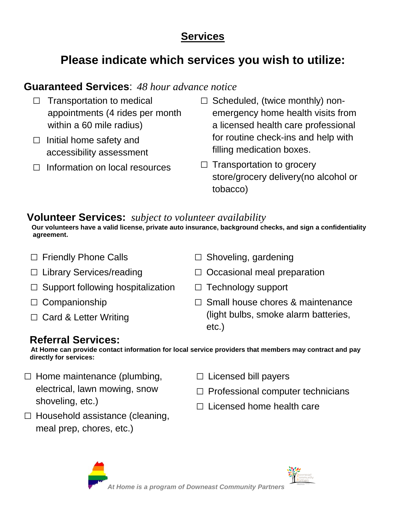# **Services**

# **Please indicate which services you wish to utilize:**

# **Guaranteed Services**: *48 hour advance notice*

- $\Box$  Transportation to medical appointments (4 rides per month within a 60 mile radius)
- $\Box$  Initial home safety and accessibility assessment
- □ Information on local resources
- $\square$  Scheduled, (twice monthly) nonemergency home health visits from a licensed health care professional for routine check-ins and help with filling medication boxes.
- $\Box$  Transportation to grocery store/grocery delivery(no alcohol or tobacco)

## **Volunteer Services:** *subject to volunteer availability*

**Our volunteers have a valid license, private auto insurance, background checks, and sign a confidentiality agreement.**

- □ Friendly Phone Calls
- □ Library Services/reading
- $\square$  Support following hospitalization
- □ Companionship
- $\Box$  Card & Letter Writing
- $\Box$  Shoveling, gardening
- $\Box$  Occasional meal preparation
- □ Technology support
- $\square$  Small house chores & maintenance (light bulbs, smoke alarm batteries, etc.)

## **Referral Services:**

**At Home can provide contact information for local service providers that members may contract and pay directly for services:**

- $\square$  Home maintenance (plumbing, electrical, lawn mowing, snow shoveling, etc.)
- $\square$  Household assistance (cleaning, meal prep, chores, etc.)
- □ Licensed bill payers
- $\Box$  Professional computer technicians
- $\Box$  Licensed home health care